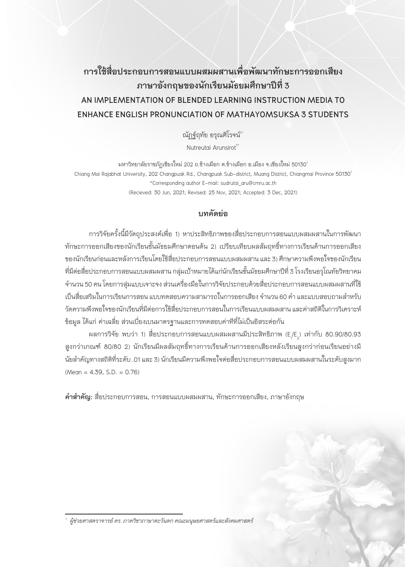# **การใช้สื่อประกอบการสอนแบบผสมผสานเพื่อพัฒนาทักษะการออกเสียง ภาษาอังกฤษของนักเรียนมัธยมศึกษาปีที่ 3 AN IMPLEMENTATION OF BLENDED LEARNING INSTRUCTION MEDIA TO ENHANCE ENGLISH PRONUNCIATION OF MATHAYOMSUKSA 3 STUDENTS**

ณัฏฐ์ฤทัย อรุณศิโรจน์"

Nutreutai Arunsirot<sup>1\*</sup>

มหาวิทยาลัยราชภัฏเชียงใหม่ 202 ถ.ช้างเผือก ต.ช้างเผือก อ.เมือง จ.เชียงใหม่ 50130<sup>1</sup> Chiang Mai Rajabhat University, 202 Changpuak Rd., Changpuak Sub-district, Muang District, Chiangmai Province 50130<sup>1</sup> \*Corresponding author E-mail: sudrutai\_aru@cmru.ac.th (Recieved: 30 Jun, 2021; Revised: 25 Nov, 2021; Accepted: 3 Dec, 2021)

## **บทคัดย่อ**

การวิจัยครั้งนี้มีวัตถุประสงค์เพื่อ 1) หาประสิทธิภาพของสื่อประกอบการสอนแบบผสมผสานในการพัฒนา ทักษะการออกเสียงของนักเรียนชั้นมัธยมศึกษาตอนต้น 2) เปรียบเทียบผลสัมฤทธิ์ทางการเรียนด้านการออกเสียง ของนักเรียนก่อนและหลังการเรียนโดยใช้สื่อประกอบการสอนแบบผสมผสาน และ 3) ศึกษาความพึงพอใจของนักเรียน ที่มีต่อสื่อประกอบการสอนแบบผสมผสาน กลุ่มเป้าหมายได้แก่นักเรียนชั้นมัธยมศึกษาปีที่ 3 โรงเรียนอรุโณทัยวิทยาคม จ�านวน 50 คน โดยการสุ่มแบบเจาะจง ส่วนเครื่องมือในการวิจัยประกอบด้วยสื่อประกอบการสอนแบบผสมผสานที่ใช้ เป็นสื่อเสริมในการเรียนการสอน แบบทดสอบความสามารถในการออกเสียง จำนวน 60 คำ และแบบสอบถามสำหรับ วัดความพึงพอใจของนักเรียนที่มีต่อการใช้สื่อประกอบการสอนในการเรียนแบบผสมผสาน และค่าสถิติในการวิเคราะห์ ข้อมูล ได้แก่ ค่าเฉลี่ย ส่วนเบี่ยงเบนมาตรฐานและการทดสอบค่าทีที่ไม่เป็นอิสระต่อกัน

ผลการวิจัย พบว่า 1) สื่อประกอบการสอนแบบผสมผสานมีประสิทธิภาพ (E<sub>,</sub>/E<sub>2</sub>) เท่ากับ 80.90/80.93 สูงกว่าเกณฑ์ 80/80 2) นักเรียนมีผลสัมฤทธิ์ทางการเรียนด้านการออกเสียงหลังเรียนสูงกว่าก่อนเรียนอย่างมี นัยสำคัญทางสถิติที่ระดับ .01 และ 3) นักเรียนมีความพึงพอใจต่อสื่อประกอบการสอนแบบผสมผสานในระดับสูงมาก  $(Mean = 4.39, S.D. = 0.76)$ 

**คำสำคัญ:** สื่อประกอบการสอน, การสอนแบบผสมผสาน, ทักษะการออกเสียง, ภาษาอังกฤษ

*<sup>1</sup>ผู้ช่วยศาสตราจารย์ ดร. ภาควิชาภาษาตะวันตก คณะมนุษยศาสตร์และสังคมศาสตร์*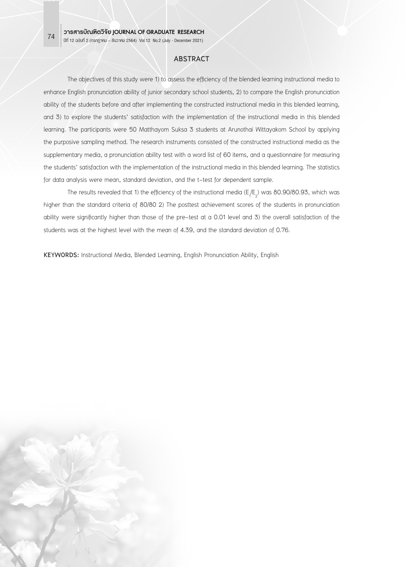### **ABSTRACT**

The objectives of this study were 1) to assess the efficiency of the blended learning instructional media to enhance English pronunciation ability of junior secondary school students, 2) to compare the English pronunciation ability of the students before and after implementing the constructed instructional media in this blended learning, and 3) to explore the students' satisfaction with the implementation of the instructional media in this blended learning. The participants were 50 Matthayom Suksa 3 students at Arunothai Wittayakom School by applying the purposive sampling method. The research instruments consisted of the constructed instructional media as the supplementary media, a pronunciation ability test with a word list of 60 items, and a questionnaire for measuring the students' satisfaction with the implementation of the instructional media in this blended learning. The statistics for data analysis were mean, standard deviation, and the t-test for dependent sample.

The results revealed that 1) the efficiency of the instructional media (E<sub>1</sub>/E<sub>2</sub>) was 80.90/80.93, which was higher than the standard criteria of 80/80 2) The posttest achievement scores of the students in pronunciation ability were significantly higher than those of the pre-test at a 0.01 level and 3) the overall satisfaction of the students was at the highest level with the mean of 4.39, and the standard deviation of 0.76.

**KEYWORDS:** Instructional Media, Blended Learning, English Pronunciation Ability, English

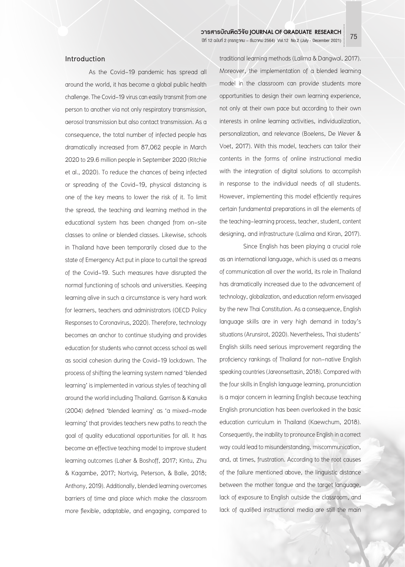### **Introduction**

As the Covid-19 pandemic has spread all around the world, it has become a global public health challenge. The Covid-19 virus can easily transmit from one person to another via not only respiratory transmission, aerosol transmission but also contact transmission. As a consequence, the total number of infected people has dramatically increased from 87,062 people in March 2020 to 29.6 million people in September 2020 (Ritchie et al., 2020). To reduce the chances of being infected or spreading of the Covid-19, physical distancing is one of the key means to lower the risk of it. To limit the spread, the teaching and learning method in the educational system has been changed from on-site classes to online or blended classes. Likewise, schools in Thailand have been temporarily closed due to the state of Emergency Act put in place to curtail the spread of the Covid-19. Such measures have disrupted the normal functioning of schools and universities. Keeping learning alive in such a circumstance is very hard work for learners, teachers and administrators (OECD Policy Responses to Coronavirus, 2020). Therefore, technology becomes an anchor to continue studying and provides education for students who cannot access school as well as social cohesion during the Covid-19 lockdown. The process of shifting the learning system named 'blended learning' is implemented in various styles of teaching all around the world including Thailand. Garrison & Kanuka (2004) defined 'blended learning' as 'a mixed-mode learning' that provides teachers new paths to reach the goal of quality educational opportunities for all. It has become an effective teaching model to improve student learning outcomes (Laher & Boshoff, 2017; Kintu, Zhu & Kagambe, 2017; Nortvig, Peterson, & Balle, 2018; Anthony, 2019). Additionally, blended learning overcomes barriers of time and place which make the classroom more flexible, adaptable, and engaging, compared to

traditional learning methods (Lalima & Dangwal, 2017). Moreover, the implementation of a blended learning model in the classroom can provide students more opportunities to design their own learning experience, not only at their own pace but according to their own interests in online learning activities, individualization, personalization, and relevance (Boelens, De Wever & Voet, 2017). With this model, teachers can tailor their contents in the forms of online instructional media with the integration of digital solutions to accomplish in response to the individual needs of all students. However, implementing this model efficiently requires certain fundamental preparations in all the elements of the teaching-learning process, teacher, student, content designing, and infrastructure (Lalima and Kiran, 2017).

Since English has been playing a crucial role as an international language, which is used as a means of communication all over the world, its role in Thailand has dramatically increased due to the advancement of technology, globalization, and education reform envisaged by the new Thai Constitution. As a consequence, English language skills are in very high demand in today's situations (Arunsirot, 2020). Nevertheless, Thai students' English skills need serious improvement regarding the proficiency rankings of Thailand for non-native English speaking countries (Jareonsettasin, 2018). Compared with the four skills in English language learning, pronunciation is a major concern in learning English because teaching English pronunciation has been overlooked in the basic education curriculum in Thailand (Kaewchum, 2018). Consequently, the inability to pronounce English in a correct way could lead to misunderstanding, miscommunication, and, at times, frustration. According to the root causes of the failure mentioned above, the linguistic distance between the mother tongue and the target language, lack of exposure to English outside the classroom, and lack of qualified instructional media are still the main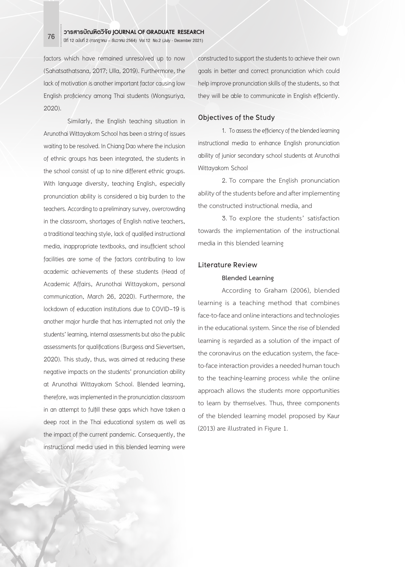factors which have remained unresolved up to now (Sahatsathatsana, 2017; Ulla, 2019). Furthermore, the lack of motivation is another important factor causing low English proficiency among Thai students (Wongsuriya, 2020).

Similarly, the English teaching situation in Arunothai Wittayakom School has been a string of issues waiting to be resolved. In Chiang Dao where the inclusion of ethnic groups has been integrated, the students in the school consist of up to nine different ethnic groups. With language diversity, teaching English, especially pronunciation ability is considered a big burden to the teachers. According to a preliminary survey, overcrowding in the classroom, shortages of English native teachers, a traditional teaching style, lack of qualified instructional media, inappropriate textbooks, and insufficient school facilities are some of the factors contributing to low academic achievements of these students (Head of Academic Affairs, Arunothai Wittayakom, personal communication, March 26, 2020). Furthermore, the lockdown of education institutions due to COVID-19 is another major hurdle that has interrupted not only the students' learning, internal assessments but also the public assessments for qualifications (Burgess and Sievertsen, 2020). This study, thus, was aimed at reducing these negative impacts on the students' pronunciation ability at Arunothai Wittayakom School. Blended learning, therefore, was implemented in the pronunciation classroom in an attempt to fulfill these gaps which have taken a deep root in the Thai educational system as well as the impact of the current pandemic. Consequently, the instructional media used in this blended learning were

constructed to support the students to achieve their own goals in better and correct pronunciation which could help improve pronunciation skills of the students, so that they will be able to communicate in English efficiently.

### **Objectives of the Study**

1. To assess the efficiency of the blended learning instructional media to enhance English pronunciation ability of junior secondary school students at Arunothai Wittayakom School

2. To compare the English pronunciation ability of the students before and after implementing the constructed instructional media, and

3. To explore the students' satisfaction towards the implementation of the instructional media in this blended learning

### **Literature Review**

### **Blended Learning**

According to Graham (2006), blended learning is a teaching method that combines face-to-face and online interactions and technologies in the educational system. Since the rise of blended learning is regarded as a solution of the impact of the coronavirus on the education system, the faceto-face interaction provides a needed human touch to the teaching-learning process while the online approach allows the students more opportunities to learn by themselves. Thus, three components of the blended learning model proposed by Kaur (2013) are illustrated in Figure 1.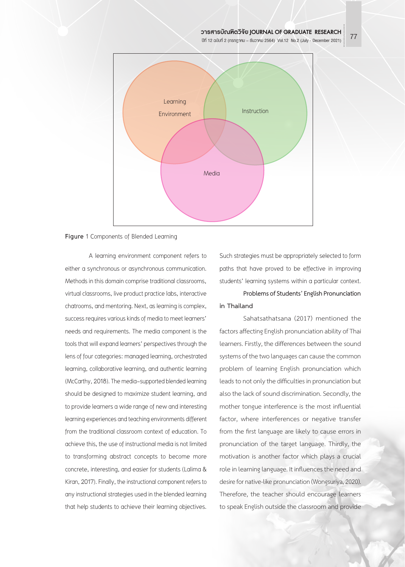

**Figure** 1 Components of Blended Learning

A learning environment component refers to either a synchronous or asynchronous communication. Methods in this domain comprise traditional classrooms, virtual classrooms, live product practice labs, interactive chatrooms, and mentoring. Next, as learning is complex, success requires various kinds of media to meet learners' needs and requirements. The media component is the tools that will expand learners' perspectives through the lens of four categories: managed learning, orchestrated learning, collaborative learning, and authentic learning (McCarthy, 2018). The media-supported blended learning should be designed to maximize student learning, and to provide learners a wide range of new and interesting learning experiences and teaching environments different from the traditional classroom context of education. To achieve this, the use of instructional media is not limited to transforming abstract concepts to become more concrete, interesting, and easier for students (Lalima & Kiran, 2017). Finally, the instructional component refers to any instructional strategies used in the blended learning that help students to achieve their learning objectives.

Such strategies must be appropriately selected to form paths that have proved to be effective in improving students' learning systems within a particular context.

**Problems of Students' English Pronunciation in Thailand**

Sahatsathatsana (2017) mentioned the factors affecting English pronunciation ability of Thai learners. Firstly, the differences between the sound systems of the two languages can cause the common problem of learning English pronunciation which leads to not only the difficulties in pronunciation but also the lack of sound discrimination. Secondly, the mother tongue interference is the most influential factor, where interferences or negative transfer from the first language are likely to cause errors in pronunciation of the target language. Thirdly, the motivation is another factor which plays a crucial role in learning language. It influences the need and desire for native-like pronunciation (Wongsuriya, 2020). Therefore, the teacher should encourage learners to speak English outside the classroom and provide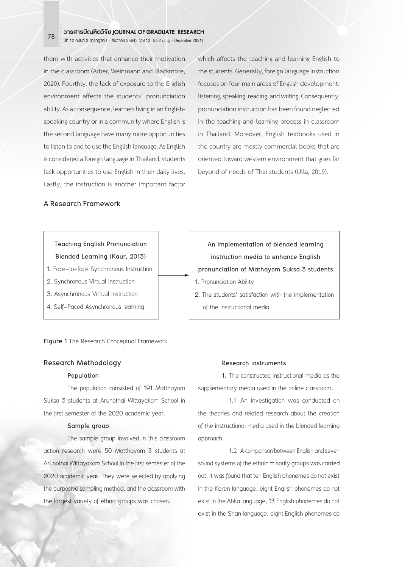them with activities that enhance their motivation in the classroom (Arber, Weinmann and Blackmore, 2020). Fourthly, the lack of exposure to the English environment affects the students' pronunciation ability. As a consequence, learners living in an Englishspeaking country or in a community where English is the second language have many more opportunities to listen to and to use the English language. As English is considered a foreign language in Thailand, students lack opportunities to use English in their daily lives. Lastly, the instruction is another important factor

which affects the teaching and learning English to the students. Generally, foreign language instruction focuses on four main areas of English development: listening, speaking, reading, and writing. Consequently, pronunciation instruction has been found neglected in the teaching and learning process in classroom in Thailand. Moreover, English textbooks used in the country are mostly commercial books that are oriented toward western environment that goes far beyond of needs of Thai students (Ulla, 2019).

### **A Research Framework**

### **Teaching English Pronunciation Blended Learning (Kaur, 2013)**

- 1. Face-to-face Synchronous Instruction
- 2. Synchronous Virtual Instruction
- 3. Asynchronous Virtual Instruction
- 4. Self-Paced Asynchronous learning

**Figure 1** The Research Conceptual Framework

### **Research Methodology**

#### **Population**

The population consisted of 191 Matthayom Suksa 3 students at Arunothai Wittayakom School in the first semester of the 2020 academic year.

### **Sample group**

The sample group involved in this classroom action research were 50 Matthayom 3 students at Arunothai Wittayakom School in the first semester of the 2020 academic year. They were selected by applying the purposive sampling method, and the classroom with the largest variety of ethnic groups was chosen.

## **An Implementation of blended learning instruction media to enhance English pronunciation of Mathayom Suksa 3 students**  1. Pronunciation Ability 2. The students' satisfaction with the implementation of the instructional media

### **Research instruments**

1. The constructed instructional media as the supplementary media used in the online classroom.

 1.1 An investigation was conducted on the theories and related research about the creation of the instructional media used in the blended learning approach.

 1.2 A comparison between English and seven sound systems of the ethnic minority groups was carried out. It was found that ten English phonemes do not exist in the Karen language, eight English phonemes do not exist in the Ahka language, 13 English phonemes do not exist in the Shan language, eight English phonemes do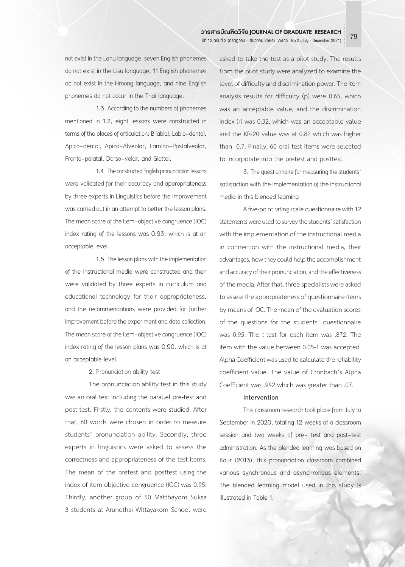not exist in the Lahu language, seven English phonemes do not exist in the Lisu language, 11 English phonemes do not exist in the Hmong language, and nine English phonemes do not occur in the Thai language.

 1.3 According to the numbers of phonemes mentioned in 1.2, eight lessons were constructed in terms of the places of articulation: Bilabial, Labio-dental, Apico-dental, Apico-Alveolar, Lamino-Postalveolar, Fronto-palatal, Dorso-velar, and Glottal.

 1.4 The constructed English pronunciation lessons were validated for their accuracy and appropriateness by three experts in Linguistics before the improvement was carried out in an attempt to better the lesson plans. The mean score of the item-objective congruence (IOC) index rating of the lessons was 0.93, which is at an acceptable level.

 1.5 The lesson plans with the implementation of the instructional media were constructed and then were validated by three experts in curriculum and educational technology for their appropriateness, and the recommendations were provided for further improvement before the experiment and data collection. The mean score of the item-objective congruence (IOC) index rating of the lesson plans was 0.90, which is at an acceptable level.

2. Pronunciation ability test

The pronunciation ability test in this study was an oral test including the parallel pre-test and post-test. Firstly, the contents were studied. After that, 60 words were chosen in order to measure students' pronunciation ability. Secondly, three experts in linguistics were asked to assess the correctness and appropriateness of the test items. The mean of the pretest and posttest using the index of item objective congruence (IOC) was 0.95. Thirdly, another group of 50 Matthayom Suksa 3 students at Arunothai Wittayakom School were

asked to take the test as a pilot study. The results from the pilot study were analyzed to examine the level of difficulty and discrimination power. The item analysis results for difficulty (p) were 0.65, which was an acceptable value, and the discrimination index (r) was 0.32, which was an acceptable value and the KR-20 value was at 0.82 which was higher than 0.7. Finally, 60 oral test items were selected to incorporate into the pretest and posttest.

3. The questionnaire for measuring the students' satisfaction with the implementation of the instructional media in this blended learning

A five-point rating scale questionnaire with 12 statements were used to survey the students' satisfaction with the implementation of the instructional media in connection with the instructional media, their advantages, how they could help the accomplishment and accuracy of their pronunciation, and the effectiveness of the media. After that, three specialists were asked to assess the appropriateness of questionnaire items by means of IOC. The mean of the evaluation scores of the questions for the students' questionnaire was 0.95. The t-test for each item was .872. The item with the value between 0.05-1 was accepted. Alpha Coefficient was used to calculate the reliability coefficient value. The value of Cronbach's Alpha Coefficient was .942 which was greater than .07.

### **Intervention**

This classroom research took place from July to September in 2020, totaling 12 weeks of a classroom session and two weeks of pre- test and post-test administration. As the blended learning was based on Kaur (2013), this pronunciation classroom combined various synchronous and asynchronous elements. The blended learning model used in this study is illustrated in Table 1.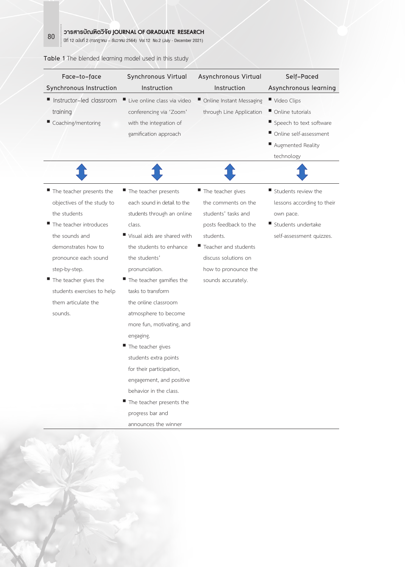|  | Table 1 The blended learning model used in this study |  |  |  |  |
|--|-------------------------------------------------------|--|--|--|--|
|  |                                                       |  |  |  |  |

| Face-to-face               | Synchronous Virtual                     | Asynchronous Virtual     | Self-Paced                 |  |  |
|----------------------------|-----------------------------------------|--------------------------|----------------------------|--|--|
| Synchronous Instruction    | Instruction                             | Instruction              | Asynchronous learning      |  |  |
| Instructor-led classroom   | Live online class via video             | Online Instant Messaging | Video Clips                |  |  |
| training                   | conferencing via 'Zoom'                 | through Line Application | Online tutorials           |  |  |
| Coaching/mentoring         | with the integration of                 |                          | Speech to text software    |  |  |
|                            | gamification approach                   |                          | Online self-assessment     |  |  |
|                            |                                         |                          | Augmented Reality          |  |  |
|                            |                                         |                          | technology                 |  |  |
|                            |                                         |                          |                            |  |  |
| The teacher presents the   | The teacher presents                    | The teacher gives        | Students review the        |  |  |
| objectives of the study to | each sound in detail to the             | the comments on the      | lessons according to their |  |  |
| the students               | students through an online              | students' tasks and      | own pace.                  |  |  |
| The teacher introduces     | class.                                  | posts feedback to the    | Students undertake         |  |  |
| the sounds and             | Visual aids are shared with             | students.                | self-assessment quizzes.   |  |  |
| demonstrates how to        | the students to enhance                 | Teacher and students     |                            |  |  |
| pronounce each sound       | the students'                           | discuss solutions on     |                            |  |  |
| step-by-step.              | pronunciation.                          | how to pronounce the     |                            |  |  |
| The teacher gives the      | $\blacksquare$ The teacher gamifies the | sounds accurately.       |                            |  |  |
| students exercises to help | tasks to transform                      |                          |                            |  |  |
| them articulate the        | the online classroom                    |                          |                            |  |  |
| sounds.                    | atmosphere to become                    |                          |                            |  |  |
|                            | more fun, motivating, and               |                          |                            |  |  |
|                            | engaging.                               |                          |                            |  |  |
|                            | The teacher gives                       |                          |                            |  |  |
|                            | students extra points                   |                          |                            |  |  |
|                            | for their participation,                |                          |                            |  |  |
|                            | engagement, and positive                |                          |                            |  |  |
|                            | behavior in the class.                  |                          |                            |  |  |
|                            | The teacher presents the                |                          |                            |  |  |
|                            | progress bar and                        |                          |                            |  |  |
|                            | announces the winner                    |                          |                            |  |  |

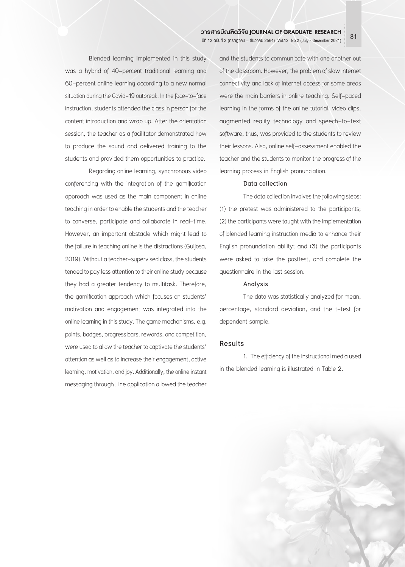Blended learning implemented in this study was a hybrid of 40-percent traditional learning and 60-percent online learning according to a new normal situation during the Covid-19 outbreak. In the face-to-face instruction, students attended the class in person for the content introduction and wrap up. After the orientation session, the teacher as a facilitator demonstrated how to produce the sound and delivered training to the students and provided them opportunities to practice.

Regarding online learning, synchronous video conferencing with the integration of the gamification approach was used as the main component in online teaching in order to enable the students and the teacher to converse, participate and collaborate in real-time. However, an important obstacle which might lead to the failure in teaching online is the distractions (Guijosa, 2019). Without a teacher-supervised class, the students tended to pay less attention to their online study because they had a greater tendency to multitask. Therefore, the gamification approach which focuses on students' motivation and engagement was integrated into the online learning in this study. The game mechanisms, e.g. points, badges, progress bars, rewards, and competition, were used to allow the teacher to captivate the students' attention as well as to increase their engagement, active learning, motivation, and joy. Additionally, the online instant messaging through Line application allowed the teacher

and the students to communicate with one another out of the classroom. However, the problem of slow internet connectivity and lack of internet access for some areas were the main barriers in online teaching. Self-paced learning in the forms of the online tutorial, video clips, augmented reality technology and speech-to-text software, thus, was provided to the students to review their lessons. Also, online self-assessment enabled the teacher and the students to monitor the progress of the learning process in English pronunciation.

### **Data collection**

The data collection involves the following steps: (1) the pretest was administered to the participants; (2) the participants were taught with the implementation of blended learning instruction media to enhance their English pronunciation ability; and (3) the participants were asked to take the posttest, and complete the questionnaire in the last session.

### **Analysis**

The data was statistically analyzed for mean, percentage, standard deviation, and the t-test for dependent sample.

### **Results**

1. The efficiency of the instructional media used in the blended learning is illustrated in Table 2.

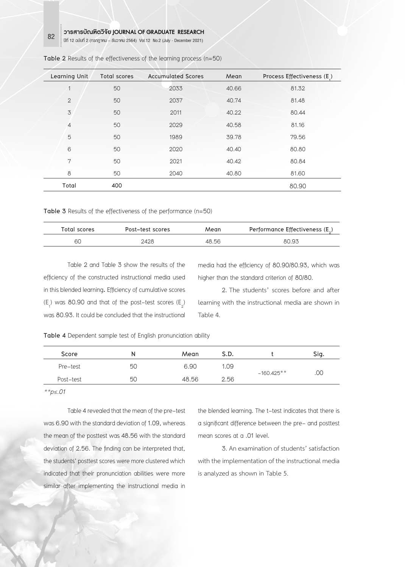**Learning Unit Total scores Accumulated Scores Mean Process Effectiveness (E1 )** 50 2033 40.66 81.32 50 2037 40.74 81.48 50 2011 40.22 80.44 50 2029 40.58 81.16 50 1989 39.78 79.56 50 2020 40.40 80.80 50 2021 40.42 80.84 8 50 50 2040 40.80 81.60 **Total 400** 80.90

| Table 2 Results of the effectiveness of the learning process (n=50) |  |
|---------------------------------------------------------------------|--|
|---------------------------------------------------------------------|--|

**Table 3** Results of the effectiveness of the performance (n=50)

| Total scores | Post-test scores | Mean  | Performance Effectiveness $(E_1)$ |
|--------------|------------------|-------|-----------------------------------|
| 6C           | 2428             | 48.56 | 80.93                             |

Table 2 and Table 3 show the results of the efficiency of the constructed instructional media used in this blended learning**.** Efficiency of cumulative scores  $(E_1)$  was 80.90 and that of the post–test scores  $(E_2)$ was 80.93. It could be concluded that the instructional

media had the efficiency of 80.90/80.93, which was higher than the standard criterion of 80/80.

2. The students' scores before and after learning with the instructional media are shown in Table 4.

**Table 4** Dependent sample test of English pronunciation ability

| Score     | N  | Mean  | S.D. |              | Sig. |
|-----------|----|-------|------|--------------|------|
| Pre-test  | 50 | 6.90  | 1.09 |              | .00  |
| Post-test | 50 | 48.56 | 2.56 | $-160.425**$ |      |

*\*\*p≤.01* 

Table 4 revealed that the mean of the pre-test was 6.90 with the standard deviation of 1.09, whereas the mean of the posttest was 48.56 with the standard deviation of 2.56. The finding can be interpreted that, the students' posttest scores were more clustered which indicated that their pronunciation abilities were more similar after implementing the instructional media in

the blended learning. The t-test indicates that there is a significant difference between the pre- and posttest mean scores at a .01 level.

3. An examination of students' satisfaction with the implementation of the instructional media is analyzed as shown in Table 5.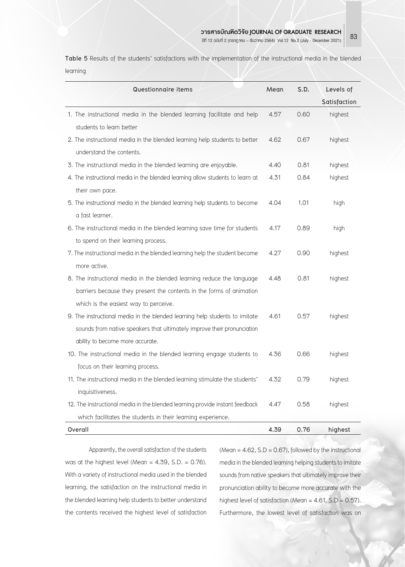**Table 5** Results of the students' satisfactions with the implementation of the instructional media in the blended learning

| Questionnaire items                                                           | Mean | S.D. | Levels of    |
|-------------------------------------------------------------------------------|------|------|--------------|
|                                                                               |      |      | Satisfaction |
| 1. The instructional media in the blended learning facilitate and help        | 4.57 | 0.60 | highest      |
| students to learn better                                                      |      |      |              |
| 2. The instructional media in the blended learning help students to better    | 4.62 | 0.67 | highest      |
| understand the contents.                                                      |      |      |              |
| 3. The instructional media in the blended learning are enjoyable.             | 4.40 | 0.81 | highest      |
| 4. The instructional media in the blended learning allow students to learn at | 4.31 | 0.84 | highest      |
| their own pace.                                                               |      |      |              |
| 5. The instructional media in the blended learning help students to become    | 4.04 | 1.01 | high         |
| a fast learner.                                                               |      |      |              |
| 6. The instructional media in the blended learning save time for students     | 4.17 | 0.89 | high         |
| to spend on their learning process.                                           |      |      |              |
| 7. The instructional media in the blended learning help the student become    | 4.27 | 0.90 | highest      |
| more active.                                                                  |      |      |              |
| 8. The instructional media in the blended learning reduce the language        | 4.48 | 0.81 | highest      |
| barriers because they present the contents in the forms of animation          |      |      |              |
| which is the easiest way to perceive.                                         |      |      |              |
| 9. The instructional media in the blended learning help students to imitate   | 4.61 | 0.57 | highest      |
| sounds from native speakers that ultimately improve their pronunciation       |      |      |              |
| ability to become more accurate.                                              |      |      |              |
| 10. The instructional media in the blended learning engage students to        | 4.36 | 0.66 | highest      |
| focus on their learning process.                                              |      |      |              |
| 11. The instructional media in the blended learning stimulate the students'   | 4.32 | 0.79 | highest      |
| inquisitiveness.                                                              |      |      |              |
| 12. The instructional media in the blended learning provide instant feedback  | 4.47 | 0.58 | highest      |
| which facilitates the students in their learning experience.                  |      |      |              |
| Overall                                                                       | 4.39 | 0.76 | highest      |

Apparently, the overall satisfaction of the students was at the highest level (Mean =  $4.39$ , S.D. = 0.76). With a variety of instructional media used in the blended learning, the satisfaction on the instructional media in the blended learning help students to better understand the contents received the highest level of satisfaction (Mean  $= 4.62$ , S.D  $= 0.67$ ), followed by the instructional media in the blended learning helping students to imitate sounds from native speakers that ultimately improve their pronunciation ability to become more accurate with the highest level of satisfaction (Mean =  $4.61$ , S.D = 0.57). Furthermore, the lowest level of satisfaction was on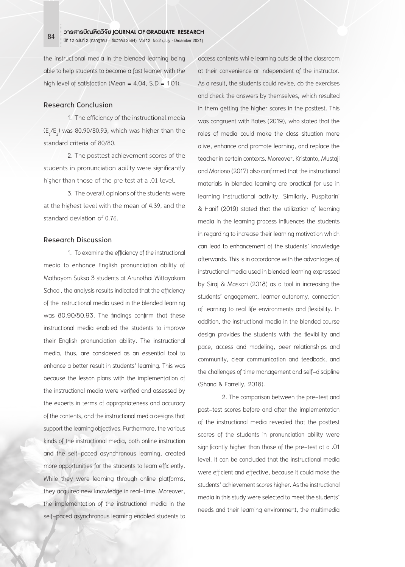the instructional media in the blended learning being able to help students to become a fast learner with the high level of satisfaction (Mean =  $4.04$ , S.D =  $1.01$ ).

### **Research Conclusion**

1. The efficiency of the instructional media  $(E_1/E_2)$  was 80.90/80.93, which was higher than the standard criteria of 80/80.

2. The posttest achievement scores of the students in pronunciation ability were significantly higher than those of the pre-test at a .01 level.

3. The overall opinions of the students were at the highest level with the mean of 4.39, and the standard deviation of 0.76.

### **Research Discussion**

1. To examine the efficiency of the instructional media to enhance English pronunciation ability of Mathayom Suksa 3 students at Arunothai Wittayakom School, the analysis results indicated that the efficiency of the instructional media used in the blended learning was 80.90/80.93. The findings confirm that these instructional media enabled the students to improve their English pronunciation ability. The instructional media, thus, are considered as an essential tool to enhance a better result in students' learning. This was because the lesson plans with the implementation of the instructional media were verified and assessed by the experts in terms of appropriateness and accuracy of the contents, and the instructional media designs that support the learning objectives. Furthermore, the various kinds of the instructional media, both online instruction and the self-paced asynchronous learning, created more opportunities for the students to learn efficiently. While they were learning through online platforms, they acquired new knowledge in real-time. Moreover, the implementation of the instructional media in the self-paced asynchronous learning enabled students to

access contents while learning outside of the classroom at their convenience or independent of the instructor. As a result, the students could revise, do the exercises and check the answers by themselves, which resulted in them getting the higher scores in the posttest. This was congruent with Bates (2019), who stated that the roles of media could make the class situation more alive, enhance and promote learning, and replace the teacher in certain contexts. Moreover, Kristanto, Mustaji and Mariono (2017) also confirmed that the instructional materials in blended learning are practical for use in learning instructional activity. Similarly, Puspitarini & Hanif (2019) stated that the utilization of learning media in the learning process influences the students in regarding to increase their learning motivation which can lead to enhancement of the students' knowledge afterwards. This is in accordance with the advantages of instructional media used in blended learning expressed by Siraj & Maskari (2018) as a tool in increasing the students' engagement, learner autonomy, connection of learning to real life environments and flexibility. In addition, the instructional media in the blended course design provides the students with the flexibility and pace, access and modeling, peer relationships and community, clear communication and feedback, and the challenges of time management and self-discipline (Shand & Farrelly, 2018).

2. The comparison between the pre-test and post-test scores before and after the implementation of the instructional media revealed that the posttest scores of the students in pronunciation ability were significantly higher than those of the pre-test at a .01 level. It can be concluded that the instructional media were efficient and effective, because it could make the students' achievement scores higher. As the instructional media in this study were selected to meet the students' needs and their learning environment, the multimedia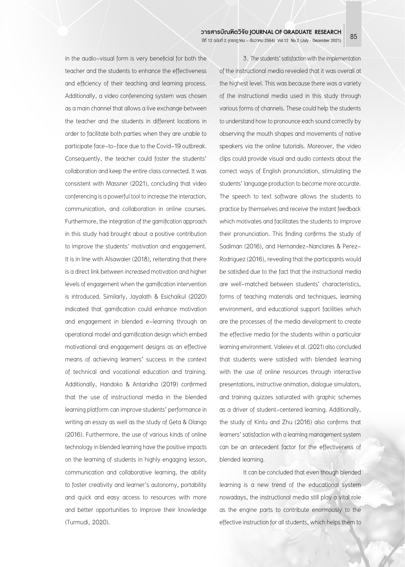in the audio-visual form is very beneficial for both the teacher and the students to enhance the effectiveness and efficiency of their teaching and learning process. Additionally, a video conferencing system was chosen as a main channel that allows a live exchange between the teacher and the students in different locations in order to facilitate both parties when they are unable to participate face-to-face due to the Covid-19 outbreak. Consequently, the teacher could foster the students' collaboration and keep the entire class connected. It was consistent with Massner (2021), concluding that video conferencing is a powerful tool to increase the interaction, communication, and collaboration in online courses. Furthermore, the integration of the gamification approach in this study had brought about a positive contribution to improve the students' motivation and engagement. It is in line with Alsawaier (2018), reiterating that there is a direct link between increased motivation and higher levels of engagement when the gamification intervention is introduced. Similarly, Jayalath & Esichaikul (2020) indicated that gamification could enhance motivation and engagement in blended e-learning through an operational model and gamification design which embed motivational and engagement designs as an effective means of achieving learners' success in the context of technical and vocational education and training. Additionally, Handoko & Antaridha (2019) confirmed that the use of instructional media in the blended learning platform can improve students' performance in writing an essay as well as the study of Geta & Olango (2016). Furthermore, the use of various kinds of online technology in blended learning have the positive impacts on the learning of students in highly engaging lesson, communication and collaborative learning, the ability to foster creativity and learner's autonomy, portability and quick and easy access to resources with more and better opportunities to improve their knowledge (Turmudi, 2020).

3. The students' satisfaction with the implementation of the instructional media revealed that it was overall at the highest level. This was because there was a variety of the instructional media used in this study through various forms of channels. These could help the students to understand how to pronounce each sound correctly by observing the mouth shapes and movements of native speakers via the online tutorials. Moreover, the video clips could provide visual and audio contexts about the correct ways of English pronunciation, stimulating the students' language production to become more accurate. The speech to text software allows the students to practice by themselves and receive the instant feedback which motivates and facilitates the students to improve their pronunciation. This finding confirms the study of Sadiman (2016), and Hernandez-Nanclares & Perez-Rodriguez (2016), revealing that the participants would be satisfied due to the fact that the instructional media are well-matched between students' characteristics, forms of teaching materials and techniques, learning environment, and educational support facilities which are the processes of the media development to create the effective media for the students within a particular learning environment. Valieiev et al. (2021) also concluded that students were satisfied with blended learning with the use of online resources through interactive presentations, instructive animation, dialogue simulators, and training quizzes saturated with graphic schemes as a driver of student-centered learning. Additionally, the study of Kintu and Zhu (2016) also confirms that learners' satisfaction with a learning management system can be an antecedent factor for the effectiveness of blended learning.

It can be concluded that even though blended learning is a new trend of the educational system nowadays, the instructional media still play a vital role as the engine parts to contribute enormously to the effective instruction for all students, which helps them to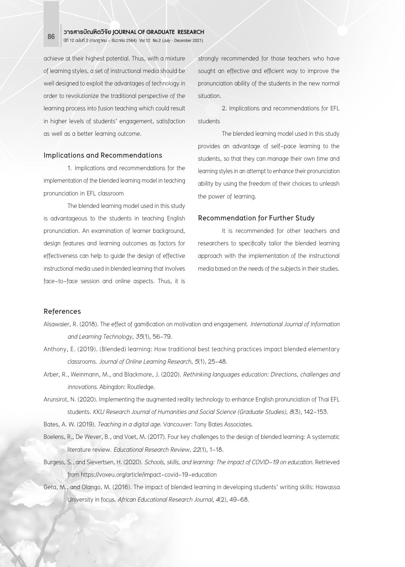achieve at their highest potential. Thus, with a mixture of learning styles, a set of instructional media should be well designed to exploit the advantages of technology in order to revolutionize the traditional perspective of the learning process into fusion teaching which could result in higher levels of students' engagement, satisfaction as well as a better learning outcome.

### **Implications and Recommendations**

1. Implications and recommendations for the implementation of the blended learning model in teaching pronunciation in EFL classroom

The blended learning model used in this study is advantageous to the students in teaching English pronunciation. An examination of learner background, design features and learning outcomes as factors for effectiveness can help to guide the design of effective instructional media used in blended learning that involves face-to-face session and online aspects. Thus, it is

strongly recommended for those teachers who have sought an effective and efficient way to improve the pronunciation ability of the students in the new normal situation.

2. Implications and recommendations for EFL students

The blended learning model used in this study provides an advantage of self-pace learning to the students, so that they can manage their own time and learning styles in an attempt to enhance their pronunciation ability by using the freedom of their choices to unleash the power of learning.

### **Recommendation for Further Study**

It is recommended for other teachers and researchers to specifically tailor the blended learning approach with the implementation of the instructional media based on the needs of the subjects in their studies.

### **References**

- Alsawaier, R. (2018). The effect of gamification on motivation and engagement. *International Journal of Information and Learning Technology*, *35*(1), 56-79.
- Anthony, E. (2019). (Blended) learning: How traditional best teaching practices impact blended elementary classrooms. *Journal of Online Learning Research*, *5*(1), 25-48.
- Arber, R., Weinmann, M., and Blackmore, J. (2020). *Rethinking languages education: Directions, challenges and innovations*. Abingdon: Routledge.
- Arunsirot, N. (2020). Implementing the augmented reality technology to enhance English pronunciation of Thai EFL students. *KKU Research Journal of Humanities and Social Science (Graduate Studies)*, *8*(3), 142-153.

Bates, A. W. (2019). *Teaching in a digital age*. Vancouver: Tony Bates Associates.

- Boelens, R., De Wever, B., and Voet, M. (2017). Four key challenges to the design of blended learning: A systematic literature review. *Educational Research Review*, *22*(1), 1-18.
- Burgess, S., and Sievertsen, H. (2020). *Schools, skills, and learning: The impact of COVID-19 on education*. Retrieved from https://voxeu.org/article/impact-covid-19-education
- Geta, M., and Olango, M. (2016). The impact of blended learning in developing students' writing skills: Hawassa University in focus. *African Educational Research Journal*, *4*(2), 49-68.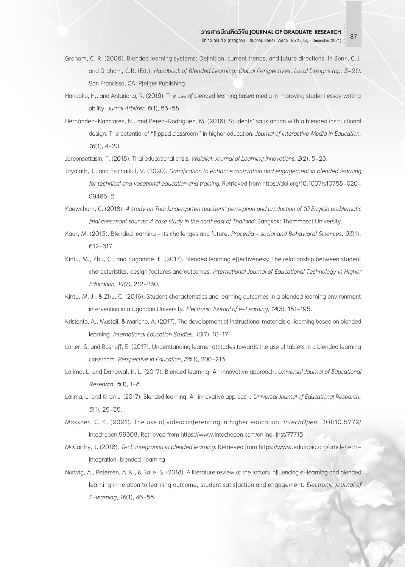- Graham, C. R. (2006). Blended learning systems: Definition, current trends, and future directions. In Bonk, C.J. and Graham, C.R. (Ed.), *Handbook of Blended Learning: Global Perspectives, Local Designs (pp. 3-21).* San Francisso, CA: Pfeiffer Publishing.
- Handoko, H., and Antaridha, R. (2019). The use of blended learning based media in improving student essay writing ability. *Jurnal Arbitrer, 6*(1), 53-58.
- Hernández-Nanclares, N., and Pérez-Rodríguez, M. (2016). Students' satisfaction with a blended instructional design: The potential of "flipped classroom" in higher education. *Journal of Interactive Media in Education*, *16*(1), 4-20.

Jareonsettasin, T. (2018). Thai educational crisis. *Walailak Journal of Learning Innovations*, *2*(2), 5-23.

- Jayalath, J., and Esichaikul, V. (2020). *Gamification to enhance motivation and engagement in blended learning for technical and vocational education and training*. Retrieved from https://doi.org/10.1007/s10758-020- 09466-2
- Kaewchum, C. (2018). *A study on Thai kindergarten teachers' perception and production of 10 English problematic final consonant sounds: A case study in the northeast of Thailand*. Bangkok: Thammasat University.
- Kaur, M. (2013). Blended learning its challenges and future. *Procedia social and Behavioral Sciences*, *93*(1), 612-617.
- Kintu, M., Zhu, C., and Kagambe, E. (2017). Blended learning effectiveness: The relationship between student characteristics, design features and outcomes. *International Journal of Educational Technology in Higher Education, 14(*7), 212-230.
- Kintu, M. J., & Zhu, C. (2016). Student characteristics and learning outcomes in a blended learning environment intervention in a Ugandan University. *Electronic Journal of e-Learning*, *14*(3), 181-195.
- Kristanto, A., Mustaji, & Mariono, A. (2017). The development of instructional materials e-learning based on blended learning*. International Education Studies*, *10*(7), 10-17.
- Laher, S. and Boshoff, E. (2017). Understanding learner attitudes towards the use of tablets in a blended learning classroom. *Perspective in Education*, *35*(1), 200-213.
- Lalima, L. and Dangwal, K. L. (2017). Blended learning: An innovative approach*. Universal Journal of Educational Research*,*5*(1), 1-8.
- Lalima, L. and Kiran L. (2017). Blended learning: An innovative approach. *Universal Journal of Educational Research*, *5*(1), 25-35.
- Massner, C. K. (2021). The use of videoconferencing in higher education. *IntechOpen*, DOI:10.5772/ intechopen.99308. Retrieved from https://www.intechopen.com/online-first/77715
- McCarthy, J. (2018). *Tech integration in blended learning*. Retrieved from https://www.edutopia.org/article/techintegration-blended-learning
- Nortvig, A., Petersen, A. K., & Balle, S. (2018). A literature review of the factors influencing e-learning and blended learning in relation to learning outcome, student satisfaction and engagement. *Electronic Journal of E-learning*, *16*(1), 46-55.